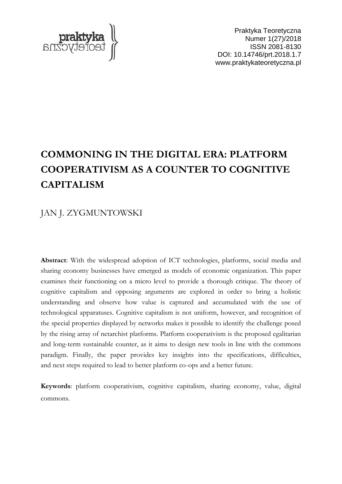

Praktyka Teoretyczna Numer 1(27)/2018 ISSN 2081-8130 DOI: 10.14746/prt.2018.1.7 www.praktykateoretyczna.pl

# **COMMONING IN THE DIGITAL ERA: PLATFORM COOPERATIVISM AS A COUNTER TO COGNITIVE CAPITALISM**

# JAN J. ZYGMUNTOWSKI

**Abstract**: With the widespread adoption of ICT technologies, platforms, social media and sharing economy businesses have emerged as models of economic organization. This paper examines their functioning on a micro level to provide a thorough critique. The theory of cognitive capitalism and opposing arguments are explored in order to bring a holistic understanding and observe how value is captured and accumulated with the use of technological apparatuses. Cognitive capitalism is not uniform, however, and recognition of the special properties displayed by networks makes it possible to identify the challenge posed by the rising array of netarchist platforms. Platform cooperativism is the proposed egalitarian and long-term sustainable counter, as it aims to design new tools in line with the commons paradigm. Finally, the paper provides key insights into the specifications, difficulties, and next steps required to lead to better platform co-ops and a better future.

**Keywords**: platform cooperativism, cognitive capitalism, sharing economy, value, digital commons.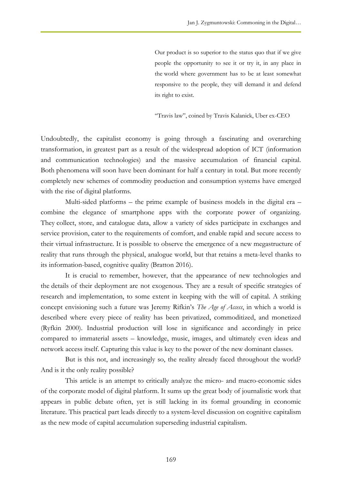Our product is so superior to the status quo that if we give people the opportunity to see it or try it, in any place in the world where government has to be at least somewhat responsive to the people, they will demand it and defend its right to exist.

"Travis law", coined by Travis Kalanick, Uber ex-CEO

Undoubtedly, the capitalist economy is going through a fascinating and overarching transformation, in greatest part as a result of the widespread adoption of ICT (information and communication technologies) and the massive accumulation of financial capital. Both phenomena will soon have been dominant for half a century in total. But more recently completely new schemes of commodity production and consumption systems have emerged with the rise of digital platforms.

Multi-sided platforms – the prime example of business models in the digital era – combine the elegance of smartphone apps with the corporate power of organizing. They collect, store, and catalogue data, allow a variety of sides participate in exchanges and service provision, cater to the requirements of comfort, and enable rapid and secure access to their virtual infrastructure. It is possible to observe the emergence of a new megastructure of reality that runs through the physical, analogue world, but that retains a meta-level thanks to its information-based, cognitive quality (Bratton 2016).

It is crucial to remember, however, that the appearance of new technologies and the details of their deployment are not exogenous. They are a result of specific strategies of research and implementation, to some extent in keeping with the will of capital. A striking concept envisioning such a future was Jeremy Rifkin's *The Age of Access*, in which a world is described where every piece of reality has been privatized, commoditized, and monetized (Ryfkin 2000). Industrial production will lose in significance and accordingly in price compared to immaterial assets – knowledge, music, images, and ultimately even ideas and network access itself. Capturing this value is key to the power of the new dominant classes.

But is this not, and increasingly so, the reality already faced throughout the world? And is it the only reality possible?

This article is an attempt to critically analyze the micro- and macro-economic sides of the corporate model of digital platform. It sums up the great body of journalistic work that appears in public debate often, yet is still lacking in its formal grounding in economic literature. This practical part leads directly to a system-level discussion on cognitive capitalism as the new mode of capital accumulation superseding industrial capitalism.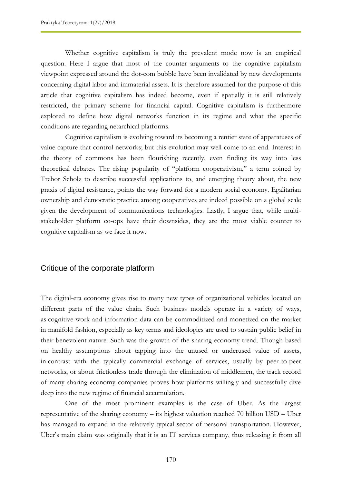Whether cognitive capitalism is truly the prevalent mode now is an empirical question. Here I argue that most of the counter arguments to the cognitive capitalism viewpoint expressed around the dot-com bubble have been invalidated by new developments concerning digital labor and immaterial assets. It is therefore assumed for the purpose of this article that cognitive capitalism has indeed become, even if spatially it is still relatively restricted, the primary scheme for financial capital. Cognitive capitalism is furthermore explored to define how digital networks function in its regime and what the specific conditions are regarding netarchical platforms.

Cognitive capitalism is evolving toward its becoming a rentier state of apparatuses of value capture that control networks; but this evolution may well come to an end. Interest in the theory of commons has been flourishing recently, even finding its way into less theoretical debates. The rising popularity of "platform cooperativism," a term coined by Trebor Scholz to describe successful applications to, and emerging theory about, the new praxis of digital resistance, points the way forward for a modern social economy. Egalitarian ownership and democratic practice among cooperatives are indeed possible on a global scale given the development of communications technologies. Lastly, I argue that, while multistakeholder platform co-ops have their downsides, they are the most viable counter to cognitive capitalism as we face it now.

#### Critique of the corporate platform

The digital-era economy gives rise to many new types of organizational vehicles located on different parts of the value chain. Such business models operate in a variety of ways, as cognitive work and information data can be commoditized and monetized on the market in manifold fashion, especially as key terms and ideologies are used to sustain public belief in their benevolent nature. Such was the growth of the sharing economy trend. Though based on healthy assumptions about tapping into the unused or underused value of assets, in contrast with the typically commercial exchange of services, usually by peer-to-peer networks, or about frictionless trade through the elimination of middlemen, the track record of many sharing economy companies proves how platforms willingly and successfully dive deep into the new regime of financial accumulation.

One of the most prominent examples is the case of Uber. As the largest representative of the sharing economy – its highest valuation reached 70 billion USD – Uber has managed to expand in the relatively typical sector of personal transportation. However, Uber's main claim was originally that it is an IT services company, thus releasing it from all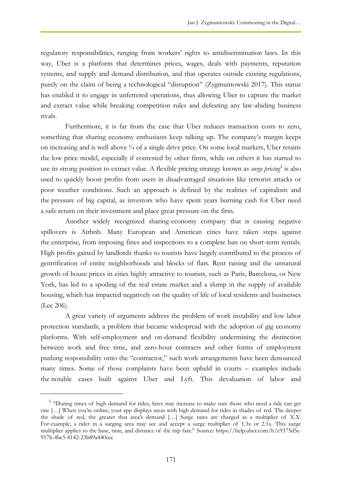regulatory responsibilities, ranging from workers' rights to antidiscrimination laws. In this way, Uber is a platform that determines prices, wages, deals with payments, reputation systems, and supply and demand distribution, and that operates outside existing regulations, purely on the claim of being a technological "disruption" (Zygmuntowski 2017). This status has enabled it to engage in unfettered operations, thus allowing Uber to capture the market and extract value while breaking competition rules and defeating any law-abiding business rivals.

Furthermore, it is far from the case that Uber reduces transaction costs to zero, something that sharing economy enthusiasts keep talking up. The company's margin keeps on increasing and is well above  $\frac{1}{4}$  of a single drive price. On some local markets, Uber retains the low price model, especially if contested by other firms, while on others it has started to use its strong position to extract value. A flexible pricing strategy known as *surge pricing<sup>1</sup>* is also used to quickly boost profits from users in disadvantaged situations like terrorist attacks or poor weather conditions. Such an approach is defined by the realities of capitalism and the pressure of big capital, as investors who have spent years burning cash for Uber need a safe return on their investment and place great pressure on the firm.

Another widely recognized sharing-economy company that is causing negative spillovers is Airbnb. Many European and American cities have taken steps against the enterprise, from imposing fines and inspections to a complete ban on short-term rentals. High profits gained by landlords thanks to tourists have largely contributed to the process of gentrification of entire neighborhoods and blocks of flats. Rent raising and the unnatural growth of house prices in cities highly attractive to tourists, such as Paris, Barcelona, or New York, has led to a spoiling of the real estate market and a slump in the supply of available housing, which has impacted negatively on the quality of life of local residents and businesses (Lee 206).

A great variety of arguments address the problem of work instability and low labor protection standards, a problem that became widespread with the adoption of gig economy platforms. With self-employment and on-demand flexibility undermining the distinction between work and free time, and zero-hour contracts and other forms of employment pushing responsibility onto the "contractor," such work arrangements have been denounced many times. Some of those complaints have been upheld in courts – examples include the notable cases built against Uber and Lyft. This devaluation of labor and

 $\overline{a}$ 

<sup>&</sup>lt;sup>1</sup> "During times of high demand for rides, fares may increase to make sure those who need a ride can get one […] When you're online, your app displays areas with high demand for rides in shades of red. The deeper the shade of red, the greater that area's demand […] Surge rates are charged as a multiplier of X.X. For example, a rider in a surging area may see and accept a surge multiplier of 1.3x or 2.1x. This surge multiplier applies to the base, time, and distance of the trip fare." Source: https://help.uber.com/h/e9375d5e-917b-4bc5-8142-23b89a440eec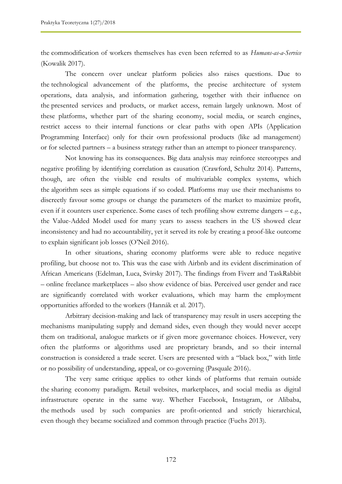the commodification of workers themselves has even been referred to as *Humans-as-a-Service* (Kowalik 2017).

The concern over unclear platform policies also raises questions. Due to the technological advancement of the platforms, the precise architecture of system operations, data analysis, and information gathering, together with their influence on the presented services and products, or market access, remain largely unknown. Most of these platforms, whether part of the sharing economy, social media, or search engines, restrict access to their internal functions or clear paths with open APIs (Application Programming Interface) only for their own professional products (like ad management) or for selected partners – a business strategy rather than an attempt to pioneer transparency.

Not knowing has its consequences. Big data analysis may reinforce stereotypes and negative profiling by identifying correlation as causation (Crawford, Schultz 2014). Patterns, though, are often the visible end results of multivariable complex systems, which the algorithm sees as simple equations if so coded. Platforms may use their mechanisms to discreetly favour some groups or change the parameters of the market to maximize profit, even if it counters user experience. Some cases of tech profiling show extreme dangers – e.g., the Value-Added Model used for many years to assess teachers in the US showed clear inconsistency and had no accountability, yet it served its role by creating a proof-like outcome to explain significant job losses (O'Neil 2016).

In other situations, sharing economy platforms were able to reduce negative profiling, but choose not to. This was the case with Airbnb and its evident discrimination of African Americans (Edelman, Luca, Svirsky 2017). The findings from Fiverr and TaskRabbit – online freelance marketplaces – also show evidence of bias. Perceived user gender and race are significantly correlated with worker evaluations, which may harm the employment opportunities afforded to the workers (Hannák et al. 2017).

Arbitrary decision-making and lack of transparency may result in users accepting the mechanisms manipulating supply and demand sides, even though they would never accept them on traditional, analogue markets or if given more governance choices. However, very often the platforms or algorithms used are proprietary brands, and so their internal construction is considered a trade secret. Users are presented with a "black box," with little or no possibility of understanding, appeal, or co-governing (Pasquale 2016).

The very same critique applies to other kinds of platforms that remain outside the sharing economy paradigm. Retail websites, marketplaces, and social media as digital infrastructure operate in the same way. Whether Facebook, Instagram, or Alibaba, the methods used by such companies are profit-oriented and strictly hierarchical, even though they became socialized and common through practice (Fuchs 2013).

172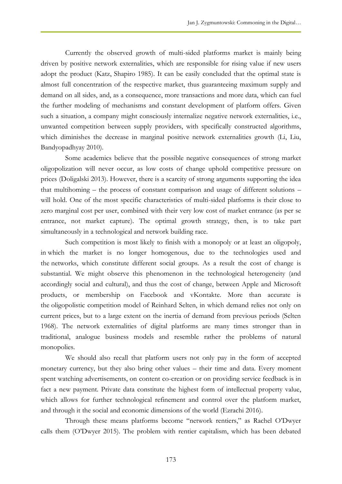Currently the observed growth of multi-sided platforms market is mainly being driven by positive network externalities, which are responsible for rising value if new users adopt the product (Katz, Shapiro 1985). It can be easily concluded that the optimal state is almost full concentration of the respective market, thus guaranteeing maximum supply and demand on all sides, and, as a consequence, more transactions and more data, which can fuel the further modeling of mechanisms and constant development of platform offers. Given such a situation, a company might consciously internalize negative network externalities, i.e., unwanted competition between supply providers, with specifically constructed algorithms, which diminishes the decrease in marginal positive network externalities growth (Li, Liu, Bandyopadhyay 2010).

Some academics believe that the possible negative consequences of strong market oligopolization will never occur, as low costs of change uphold competitive pressure on prices (Doligalski 2013). However, there is a scarcity of strong arguments supporting the idea that multihoming – the process of constant comparison and usage of different solutions – will hold. One of the most specific characteristics of multi-sided platforms is their close to zero marginal cost per user, combined with their very low cost of market entrance (as per se entrance, not market capture). The optimal growth strategy, then, is to take part simultaneously in a technological and network building race.

Such competition is most likely to finish with a monopoly or at least an oligopoly, in which the market is no longer homogenous, due to the technologies used and the networks, which constitute different social groups. As a result the cost of change is substantial. We might observe this phenomenon in the technological heterogeneity (and accordingly social and cultural), and thus the cost of change, between Apple and Microsoft products, or membership on Facebook and vKontakte. More than accurate is the oligopolistic competition model of Reinhard Selten, in which demand relies not only on current prices, but to a large extent on the inertia of demand from previous periods (Selten 1968). The network externalities of digital platforms are many times stronger than in traditional, analogue business models and resemble rather the problems of natural monopolies.

We should also recall that platform users not only pay in the form of accepted monetary currency, but they also bring other values – their time and data. Every moment spent watching advertisements, on content co-creation or on providing service feedback is in fact a new payment. Private data constitute the highest form of intellectual property value, which allows for further technological refinement and control over the platform market, and through it the social and economic dimensions of the world (Ezrachi 2016).

Through these means platforms become "network rentiers," as Rachel O'Dwyer calls them (O'Dwyer 2015). The problem with rentier capitalism, which has been debated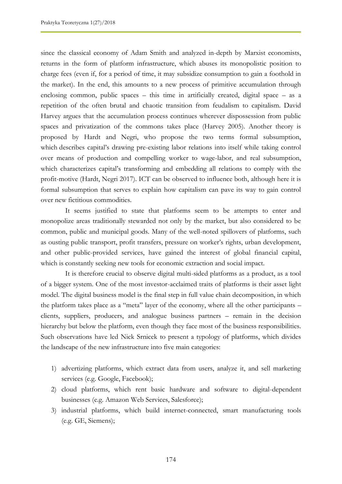since the classical economy of Adam Smith and analyzed in-depth by Marxist economists, returns in the form of platform infrastructure, which abuses its monopolistic position to charge fees (even if, for a period of time, it may subsidize consumption to gain a foothold in the market). In the end, this amounts to a new process of primitive accumulation through enclosing common, public spaces – this time in artificially created, digital space – as a repetition of the often brutal and chaotic transition from feudalism to capitalism. David Harvey argues that the accumulation process continues wherever dispossession from public spaces and privatization of the commons takes place (Harvey 2005). Another theory is proposed by Hardt and Negri, who propose the two terms formal subsumption, which describes capital's drawing pre-existing labor relations into itself while taking control over means of production and compelling worker to wage-labor, and real subsumption, which characterizes capital's transforming and embedding all relations to comply with the profit-motive (Hardt, Negri 2017). ICT can be observed to influence both, although here it is formal subsumption that serves to explain how capitalism can pave its way to gain control over new fictitious commodities.

It seems justified to state that platforms seem to be attempts to enter and monopolize areas traditionally stewarded not only by the market, but also considered to be common, public and municipal goods. Many of the well-noted spillovers of platforms, such as ousting public transport, profit transfers, pressure on worker's rights, urban development, and other public-provided services, have gained the interest of global financial capital, which is constantly seeking new tools for economic extraction and social impact.

It is therefore crucial to observe digital multi-sided platforms as a product, as a tool of a bigger system. One of the most investor-acclaimed traits of platforms is their asset light model. The digital business model is the final step in full value chain decomposition, in which the platform takes place as a "meta" layer of the economy, where all the other participants – clients, suppliers, producers, and analogue business partners – remain in the decision hierarchy but below the platform, even though they face most of the business responsibilities. Such observations have led Nick Srnicek to present a typology of platforms, which divides the landscape of the new infrastructure into five main categories:

- 1) advertizing platforms, which extract data from users, analyze it, and sell marketing services (e.g. Google, Facebook);
- 2) cloud platforms, which rent basic hardware and software to digital-dependent businesses (e.g. Amazon Web Services, Salesforce);
- 3) industrial platforms, which build internet-connected, smart manufacturing tools (e.g. GE, Siemens);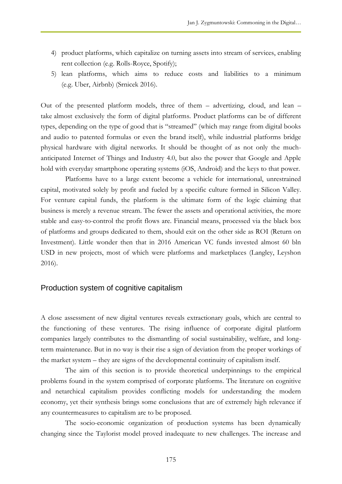- 4) product platforms, which capitalize on turning assets into stream of services, enabling rent collection (e.g. Rolls-Royce, Spotify);
- 5) lean platforms, which aims to reduce costs and liabilities to a minimum (e.g. Uber, Airbnb) (Srnicek 2016).

Out of the presented platform models, three of them – advertizing, cloud, and lean – take almost exclusively the form of digital platforms. Product platforms can be of different types, depending on the type of good that is "streamed" (which may range from digital books and audio to patented formulas or even the brand itself), while industrial platforms bridge physical hardware with digital networks. It should be thought of as not only the muchanticipated Internet of Things and Industry 4.0, but also the power that Google and Apple hold with everyday smartphone operating systems (iOS, Android) and the keys to that power.

Platforms have to a large extent become a vehicle for international, unrestrained capital, motivated solely by profit and fueled by a specific culture formed in Silicon Valley. For venture capital funds, the platform is the ultimate form of the logic claiming that business is merely a revenue stream. The fewer the assets and operational activities, the more stable and easy-to-control the profit flows are. Financial means, processed via the black box of platforms and groups dedicated to them, should exit on the other side as ROI (Return on Investment). Little wonder then that in 2016 American VC funds invested almost 60 bln USD in new projects, most of which were platforms and marketplaces (Langley, Leyshon 2016).

#### Production system of cognitive capitalism

A close assessment of new digital ventures reveals extractionary goals, which are central to the functioning of these ventures. The rising influence of corporate digital platform companies largely contributes to the dismantling of social sustainability, welfare, and longterm maintenance. But in no way is their rise a sign of deviation from the proper workings of the market system – they are signs of the developmental continuity of capitalism itself.

The aim of this section is to provide theoretical underpinnings to the empirical problems found in the system comprised of corporate platforms. The literature on cognitive and netarchical capitalism provides conflicting models for understanding the modern economy, yet their synthesis brings some conclusions that are of extremely high relevance if any countermeasures to capitalism are to be proposed.

The socio-economic organization of production systems has been dynamically changing since the Taylorist model proved inadequate to new challenges. The increase and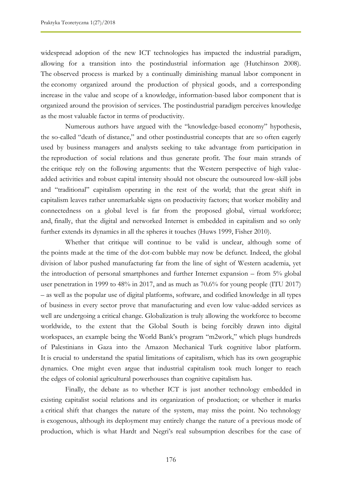widespread adoption of the new ICT technologies has impacted the industrial paradigm, allowing for a transition into the postindustrial information age (Hutchinson 2008). The observed process is marked by a continually diminishing manual labor component in the economy organized around the production of physical goods, and a corresponding increase in the value and scope of a knowledge, information-based labor component that is organized around the provision of services. The postindustrial paradigm perceives knowledge as the most valuable factor in terms of productivity.

Numerous authors have argued with the "knowledge-based economy" hypothesis, the so-called "death of distance," and other postindustrial concepts that are so often eagerly used by business managers and analysts seeking to take advantage from participation in the reproduction of social relations and thus generate profit. The four main strands of the critique rely on the following arguments: that the Western perspective of high valueadded activities and robust capital intensity should not obscure the outsourced low-skill jobs and "traditional" capitalism operating in the rest of the world; that the great shift in capitalism leaves rather unremarkable signs on productivity factors; that worker mobility and connectedness on a global level is far from the proposed global, virtual workforce; and, finally, that the digital and networked Internet is embedded in capitalism and so only further extends its dynamics in all the spheres it touches (Huws 1999, Fisher 2010).

Whether that critique will continue to be valid is unclear, although some of the points made at the time of the dot-com bubble may now be defunct. Indeed, the global division of labor pushed manufacturing far from the line of sight of Western academia, yet the introduction of personal smartphones and further Internet expansion – from 5% global user penetration in 1999 to 48% in 2017, and as much as 70.6% for young people (ITU 2017) – as well as the popular use of digital platforms, software, and codified knowledge in all types of business in every sector prove that manufacturing and even low value-added services as well are undergoing a critical change. Globalization is truly allowing the workforce to become worldwide, to the extent that the Global South is being forcibly drawn into digital workspaces, an example being the World Bank's program "m2work," which plugs hundreds of Palestinians in Gaza into the Amazon Mechanical Turk cognitive labor platform. It is crucial to understand the spatial limitations of capitalism, which has its own geographic dynamics. One might even argue that industrial capitalism took much longer to reach the edges of colonial agricultural powerhouses than cognitive capitalism has.

Finally, the debate as to whether ICT is just another technology embedded in existing capitalist social relations and its organization of production; or whether it marks a critical shift that changes the nature of the system, may miss the point. No technology is exogenous, although its deployment may entirely change the nature of a previous mode of production, which is what Hardt and Negri's real subsumption describes for the case of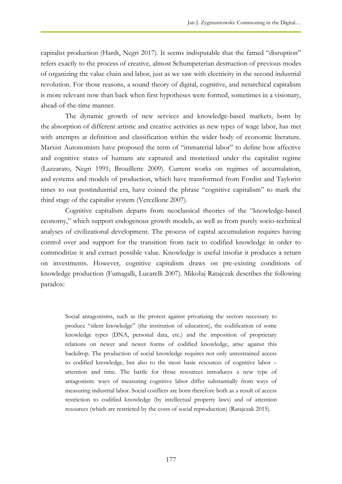capitalist production (Hardt, Negri 2017). It seems indisputable that the famed "disruption" refers exactly to the process of creative, almost Schumpeterian destruction of previous modes of organizing the value chain and labor, just as we saw with electricity in the second industrial revolution. For those reasons, a sound theory of digital, cognitive, and netarchical capitalism is more relevant now than back when first hypotheses were formed, sometimes in a visionary, ahead-of-the-time manner.

The dynamic growth of new services and knowledge-based markets, born by the absorption of different artistic and creative activities as new types of wage labor, has met with attempts at definition and classification within the wider body of economic literature. Marxist Autonomists have proposed the term of "immaterial labor" to define how affective and cognitive states of humans are captured and monetized under the capitalist regime (Lazzarato, Negri 1991; Brouillette 2009). Current works on regimes of accumulation, and systems and models of production, which have transformed from Fordist and Taylorist times to our postindustrial era, have coined the phrase "cognitive capitalism" to mark the third stage of the capitalist system (Vercellone 2007).

Cognitive capitalism departs from neoclassical theories of the "knowledge-based economy," which support endogenous growth models, as well as from purely socio-technical analyses of civilizational development. The process of capital accumulation requires having control over and support for the transition from tacit to codified knowledge in order to commoditize it and extract possible value. Knowledge is useful insofar it produces a return on investments. However, cognitive capitalism draws on pre-existing conditions of knowledge production (Fumagalli, Lucarelli 2007). Mikołaj Ratajczak describes the following paradox:

Social antagonisms, such as the protest against privatizing the sectors necessary to produce "silent knowledge" (the institution of education), the codification of some knowledge types (DNA, personal data, etc.) and the imposition of proprietary relations on newer and newer forms of codified knowledge, arise against this backdrop. The production of social knowledge requires not only unrestrained access to codified knowledge, but also to the most basic resources of cognitive labor – attention and time. The battle for those resources introduces a new type of antagonism: ways of measuring cognitive labor differ substantially from ways of measuring industrial labor. Social conflicts are born therefore both as a result of access restriction to codified knowledge (by intellectual property laws) and of attention resources (which are restricted by the costs of social reproduction) (Ratajczak 2015).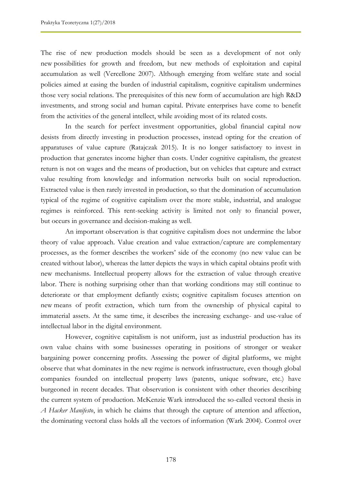The rise of new production models should be seen as a development of not only new possibilities for growth and freedom, but new methods of exploitation and capital accumulation as well (Vercellone 2007). Although emerging from welfare state and social policies aimed at easing the burden of industrial capitalism, cognitive capitalism undermines those very social relations. The prerequisites of this new form of accumulation are high R&D investments, and strong social and human capital. Private enterprises have come to benefit from the activities of the general intellect, while avoiding most of its related costs.

In the search for perfect investment opportunities, global financial capital now desists from directly investing in production processes, instead opting for the creation of apparatuses of value capture (Ratajczak 2015). It is no longer satisfactory to invest in production that generates income higher than costs. Under cognitive capitalism, the greatest return is not on wages and the means of production, but on vehicles that capture and extract value resulting from knowledge and information networks built on social reproduction. Extracted value is then rarely invested in production, so that the domination of accumulation typical of the regime of cognitive capitalism over the more stable, industrial, and analogue regimes is reinforced. This rent-seeking activity is limited not only to financial power, but occurs in governance and decision-making as well.

An important observation is that cognitive capitalism does not undermine the labor theory of value approach. Value creation and value extraction/capture are complementary processes, as the former describes the workers' side of the economy (no new value can be created without labor), whereas the latter depicts the ways in which capital obtains profit with new mechanisms. Intellectual property allows for the extraction of value through creative labor. There is nothing surprising other than that working conditions may still continue to deteriorate or that employment defiantly exists; cognitive capitalism focuses attention on new means of profit extraction, which turn from the ownership of physical capital to immaterial assets. At the same time, it describes the increasing exchange- and use-value of intellectual labor in the digital environment.

However, cognitive capitalism is not uniform, just as industrial production has its own value chains with some businesses operating in positions of stronger or weaker bargaining power concerning profits. Assessing the power of digital platforms, we might observe that what dominates in the new regime is network infrastructure, even though global companies founded on intellectual property laws (patents, unique software, etc.) have burgeoned in recent decades. That observation is consistent with other theories describing the current system of production. McKenzie Wark introduced the so-called vectoral thesis in *A Hacker Manifesto*, in which he claims that through the capture of attention and affection, the dominating vectoral class holds all the vectors of information (Wark 2004). Control over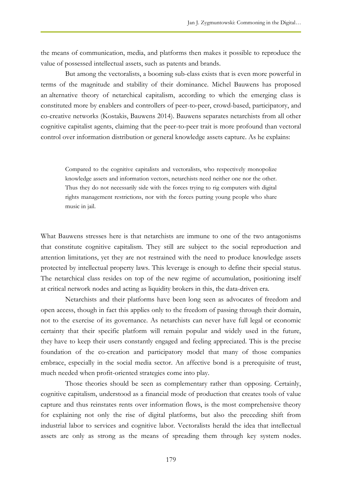the means of communication, media, and platforms then makes it possible to reproduce the value of possessed intellectual assets, such as patents and brands.

But among the vectoralists, a booming sub-class exists that is even more powerful in terms of the magnitude and stability of their dominance. Michel Bauwens has proposed an alternative theory of netarchical capitalism, according to which the emerging class is constituted more by enablers and controllers of peer-to-peer, crowd-based, participatory, and co-creative networks (Kostakis, Bauwens 2014). Bauwens separates netarchists from all other cognitive capitalist agents, claiming that the peer-to-peer trait is more profound than vectoral control over information distribution or general knowledge assets capture. As he explains:

Compared to the cognitive capitalists and vectoralists, who respectively monopolize knowledge assets and information vectors, netarchists need neither one nor the other. Thus they do not necessarily side with the forces trying to rig computers with digital rights management restrictions, nor with the forces putting young people who share music in jail.

What Bauwens stresses here is that netarchists are immune to one of the two antagonisms that constitute cognitive capitalism. They still are subject to the social reproduction and attention limitations, yet they are not restrained with the need to produce knowledge assets protected by intellectual property laws. This leverage is enough to define their special status. The netarchical class resides on top of the new regime of accumulation, positioning itself at critical network nodes and acting as liquidity brokers in this, the data-driven era.

Netarchists and their platforms have been long seen as advocates of freedom and open access, though in fact this applies only to the freedom of passing through their domain, not to the exercise of its governance. As netarchists can never have full legal or economic certainty that their specific platform will remain popular and widely used in the future, they have to keep their users constantly engaged and feeling appreciated. This is the precise foundation of the co-creation and participatory model that many of those companies embrace, especially in the social media sector. An affective bond is a prerequisite of trust, much needed when profit-oriented strategies come into play.

Those theories should be seen as complementary rather than opposing. Certainly, cognitive capitalism, understood as a financial mode of production that creates tools of value capture and thus reinstates rents over information flows, is the most comprehensive theory for explaining not only the rise of digital platforms, but also the preceding shift from industrial labor to services and cognitive labor. Vectoralists herald the idea that intellectual assets are only as strong as the means of spreading them through key system nodes.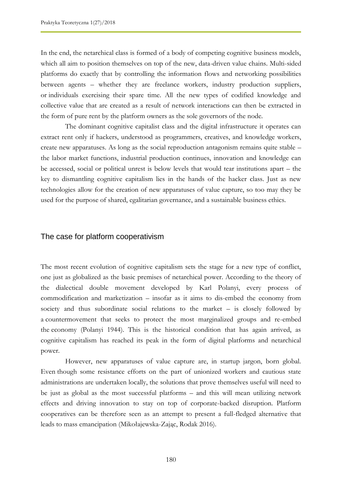In the end, the netarchical class is formed of a body of competing cognitive business models, which all aim to position themselves on top of the new, data-driven value chains. Multi-sided platforms do exactly that by controlling the information flows and networking possibilities between agents – whether they are freelance workers, industry production suppliers, or individuals exercising their spare time. All the new types of codified knowledge and collective value that are created as a result of network interactions can then be extracted in the form of pure rent by the platform owners as the sole governors of the node.

The dominant cognitive capitalist class and the digital infrastructure it operates can extract rent only if hackers, understood as programmers, creatives, and knowledge workers, create new apparatuses. As long as the social reproduction antagonism remains quite stable – the labor market functions, industrial production continues, innovation and knowledge can be accessed, social or political unrest is below levels that would tear institutions apart – the key to dismantling cognitive capitalism lies in the hands of the hacker class. Just as new technologies allow for the creation of new apparatuses of value capture, so too may they be used for the purpose of shared, egalitarian governance, and a sustainable business ethics.

#### The case for platform cooperativism

The most recent evolution of cognitive capitalism sets the stage for a new type of conflict, one just as globalized as the basic premises of netarchical power. According to the theory of the dialectical double movement developed by Karl Polanyi, every process of commodification and marketization – insofar as it aims to dis-embed the economy from society and thus subordinate social relations to the market – is closely followed by a countermovement that seeks to protect the most marginalized groups and re-embed the economy (Polanyi 1944). This is the historical condition that has again arrived, as cognitive capitalism has reached its peak in the form of digital platforms and netarchical power.

However, new apparatuses of value capture are, in startup jargon, born global. Even though some resistance efforts on the part of unionized workers and cautious state administrations are undertaken locally, the solutions that prove themselves useful will need to be just as global as the most successful platforms – and this will mean utilizing network effects and driving innovation to stay on top of corporate-backed disruption. Platform cooperatives can be therefore seen as an attempt to present a full-fledged alternative that leads to mass emancipation (Mikołajewska-Zając, Rodak 2016).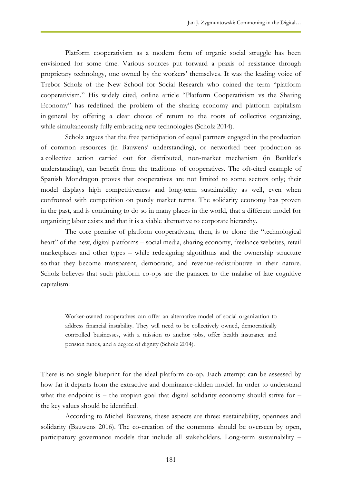Platform cooperativism as a modern form of organic social struggle has been envisioned for some time. Various sources put forward a praxis of resistance through proprietary technology, one owned by the workers' themselves. It was the leading voice of Trebor Scholz of the New School for Social Research who coined the term "platform cooperativism." His widely cited, online article "Platform Cooperativism vs the Sharing Economy" has redefined the problem of the sharing economy and platform capitalism in general by offering a clear choice of return to the roots of collective organizing, while simultaneously fully embracing new technologies (Scholz 2014).

Scholz argues that the free participation of equal partners engaged in the production of common resources (in Bauwens' understanding), or networked peer production as a collective action carried out for distributed, non-market mechanism (in Benkler's understanding), can benefit from the traditions of cooperatives. The oft-cited example of Spanish Mondragon proves that cooperatives are not limited to some sectors only; their model displays high competitiveness and long-term sustainability as well, even when confronted with competition on purely market terms. The solidarity economy has proven in the past, and is continuing to do so in many places in the world, that a different model for organizing labor exists and that it is a viable alternative to corporate hierarchy.

The core premise of platform cooperativism, then, is to clone the "technological heart" of the new, digital platforms – social media, sharing economy, freelance websites, retail marketplaces and other types – while redesigning algorithms and the ownership structure so that they become transparent, democratic, and revenue-redistributive in their nature. Scholz believes that such platform co-ops are the panacea to the malaise of late cognitive capitalism:

Worker-owned cooperatives can offer an alternative model of social organization to address financial instability. They will need to be collectively owned, democratically controlled businesses, with a mission to anchor jobs, offer health insurance and pension funds, and a degree of dignity (Scholz 2014).

There is no single blueprint for the ideal platform co-op. Each attempt can be assessed by how far it departs from the extractive and dominance-ridden model. In order to understand what the endpoint is – the utopian goal that digital solidarity economy should strive for  $$ the key values should be identified.

According to Michel Bauwens, these aspects are three: sustainability, openness and solidarity (Bauwens 2016). The co-creation of the commons should be overseen by open, participatory governance models that include all stakeholders. Long-term sustainability –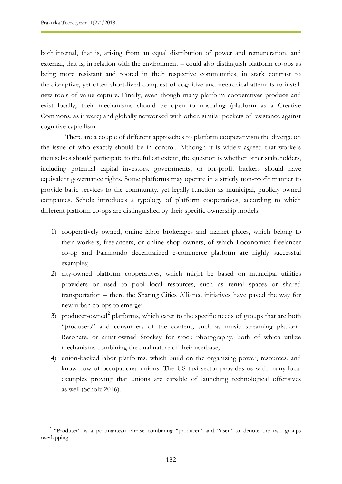$\overline{a}$ 

both internal, that is, arising from an equal distribution of power and remuneration, and external, that is, in relation with the environment – could also distinguish platform co-ops as being more resistant and rooted in their respective communities, in stark contrast to the disruptive, yet often short-lived conquest of cognitive and netarchical attempts to install new tools of value capture. Finally, even though many platform cooperatives produce and exist locally, their mechanisms should be open to upscaling (platform as a Creative Commons, as it were) and globally networked with other, similar pockets of resistance against cognitive capitalism.

There are a couple of different approaches to platform cooperativism the diverge on the issue of who exactly should be in control. Although it is widely agreed that workers themselves should participate to the fullest extent, the question is whether other stakeholders, including potential capital investors, governments, or for-profit backers should have equivalent governance rights. Some platforms may operate in a strictly non-profit manner to provide basic services to the community, yet legally function as municipal, publicly owned companies. Scholz introduces a typology of platform cooperatives, according to which different platform co-ops are distinguished by their specific ownership models:

- 1) cooperatively owned, online labor brokerages and market places, which belong to their workers, freelancers, or online shop owners, of which Loconomics freelancer co-op and Fairmondo decentralized e-commerce platform are highly successful examples;
- 2) city-owned platform cooperatives, which might be based on municipal utilities providers or used to pool local resources, such as rental spaces or shared transportation – there the Sharing Cities Alliance initiatives have paved the way for new urban co-ops to emerge;
- 3) producer-owned<sup>2</sup> platforms, which cater to the specific needs of groups that are both "produsers" and consumers of the content, such as music streaming platform Resonate, or artist-owned Stocksy for stock photography, both of which utilize mechanisms combining the dual nature of their userbase;
- 4) union-backed labor platforms, which build on the organizing power, resources, and know-how of occupational unions. The US taxi sector provides us with many local examples proving that unions are capable of launching technological offensives as well (Scholz 2016).

<sup>&</sup>lt;sup>2</sup> "Produser" is a portmanteau phrase combining "producer" and "user" to denote the two groups overlapping.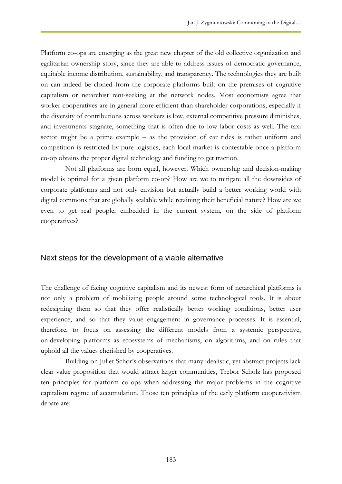Platform co-ops are emerging as the great new chapter of the old collective organization and egalitarian ownership story, since they are able to address issues of democratic governance, equitable income distribution, sustainability, and transparency. The technologies they are built on can indeed be cloned from the corporate platforms built on the premises of cognitive capitalism or netarchist rent-seeking at the network nodes. Most economists agree that worker cooperatives are in general more efficient than shareholder corporations, especially if the diversity of contributions across workers is low, external competitive pressure diminishes, and investments stagnate, something that is often due to low labor costs as well. The taxi sector might be a prime example – as the provision of car rides is rather uniform and competition is restricted by pure logistics, each local market is contestable once a platform co-op obtains the proper digital technology and funding to get traction.

Not all platforms are born equal, however. Which ownership and decision-making model is optimal for a given platform co-op? How are we to mitigate all the downsides of corporate platforms and not only envision but actually build a better working world with digital commons that are globally scalable while retaining their beneficial nature? How are we even to get real people, embedded in the current system, on the side of platform cooperatives?

#### Next steps for the development of a viable alternative

The challenge of facing cognitive capitalism and its newest form of netarchical platforms is not only a problem of mobilizing people around some technological tools. It is about redesigning them so that they offer realistically better working conditions, better user experience, and so that they value engagement in governance processes. It is essential, therefore, to focus on assessing the different models from a systemic perspective, on developing platforms as ecosystems of mechanisms, on algorithms, and on rules that uphold all the values cherished by cooperatives.

Building on Juliet Schor's observations that many idealistic, yet abstract projects lack clear value proposition that would attract larger communities, Trebor Scholz has proposed ten principles for platform co-ops when addressing the major problems in the cognitive capitalism regime of accumulation. Those ten principles of the early platform cooperativism debate are: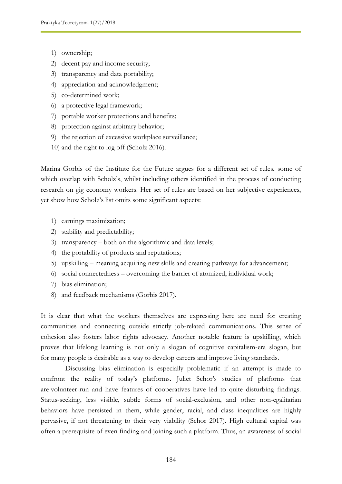- 1) ownership;
- 2) decent pay and income security;
- 3) transparency and data portability;
- 4) appreciation and acknowledgment;
- 5) co-determined work;
- 6) a protective legal framework;
- 7) portable worker protections and benefits;
- 8) protection against arbitrary behavior;
- 9) the rejection of excessive workplace surveillance;
- 10) and the right to log off (Scholz 2016).

Marina Gorbis of the Institute for the Future argues for a different set of rules, some of which overlap with Scholz's, whilst including others identified in the process of conducting research on gig economy workers. Her set of rules are based on her subjective experiences, yet show how Scholz's list omits some significant aspects:

- 1) earnings maximization;
- 2) stability and predictability;
- 3) transparency both on the algorithmic and data levels;
- 4) the portability of products and reputations;
- 5) upskilling meaning acquiring new skills and creating pathways for advancement;
- 6) social connectedness overcoming the barrier of atomized, individual work;
- 7) bias elimination;
- 8) and feedback mechanisms (Gorbis 2017).

It is clear that what the workers themselves are expressing here are need for creating communities and connecting outside strictly job-related communications. This sense of cohesion also fosters labor rights advocacy. Another notable feature is upskilling, which proves that lifelong learning is not only a slogan of cognitive capitalism-era slogan, but for many people is desirable as a way to develop careers and improve living standards.

Discussing bias elimination is especially problematic if an attempt is made to confront the reality of today's platforms. Juliet Schor's studies of platforms that are volunteer-run and have features of cooperatives have led to quite disturbing findings. Status-seeking, less visible, subtle forms of social-exclusion, and other non-egalitarian behaviors have persisted in them, while gender, racial, and class inequalities are highly pervasive, if not threatening to their very viability (Schor 2017). High cultural capital was often a prerequisite of even finding and joining such a platform. Thus, an awareness of social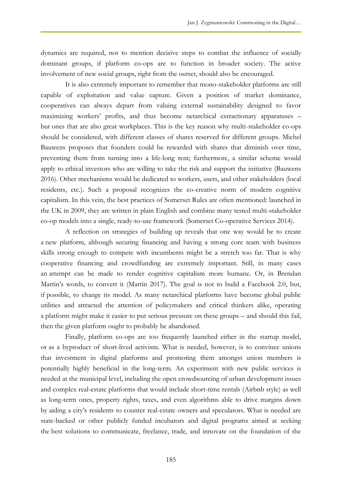dynamics are required, not to mention decisive steps to combat the influence of socially dominant groups, if platform co-ops are to function in broader society. The active involvement of new social groups, right from the outset, should also be encouraged.

It is also extremely important to remember that mono-stakeholder platforms are still capable of exploitation and value capture. Given a position of market dominance, cooperatives can always depart from valuing external sustainability designed to favor maximizing workers' profits, and thus become netarchical extractionary apparatuses – but ones that are also great workplaces. This is the key reason why multi-stakeholder co-ops should be considered, with different classes of shares reserved for different groups. Michel Bauwens proposes that founders could be rewarded with shares that diminish over time, preventing them from turning into a life-long rent; furthermore, a similar scheme would apply to ethical investors who are willing to take the risk and support the initiative (Bauwens 2016). Other mechanisms would be dedicated to workers, users, and other stakeholders (local residents, etc.). Such a proposal recognizes the co-creative norm of modern cognitive capitalism. In this vein, the best practices of Somerset Rules are often mentioned: launched in the UK in 2009, they are written in plain English and combine many tested multi-stakeholder co-op models into a single, ready-to-use framework (Somerset Co-operative Services 2014).

A reflection on strategies of building up reveals that one way would be to create a new platform, although securing financing and having a strong core team with business skills strong enough to compete with incumbents might be a stretch too far. That is why cooperative financing and crowdfunding are extremely important. Still, in many cases an attempt can be made to render cognitive capitalism more humane. Or, in Brendan Martin's words, to convert it (Martin 2017). The goal is not to build a Facebook 2.0, but, if possible, to change its model. As many netarchical platforms have become global public utilities and attracted the attention of policymakers and critical thinkers alike, operating a platform might make it easier to put serious pressure on these groups – and should this fail, then the given platform ought to probably be abandoned.

Finally, platform co-ops are too frequently launched either in the startup model, or as a byproduct of short-lived activism. What is needed, however, is to convince unions that investment in digital platforms and promoting them amongst union members is potentially highly beneficial in the long-term. An experiment with new public services is needed at the municipal level, including the open crowdsourcing of urban development issues and complex real-estate platforms that would include short-time rentals (Airbnb style) as well as long-term ones, property rights, taxes, and even algorithms able to drive margins down by aiding a city's residents to counter real-estate owners and speculators. What is needed are state-backed or other publicly funded incubators and digital programs aimed at seeking the best solutions to communicate, freelance, trade, and innovate on the foundation of the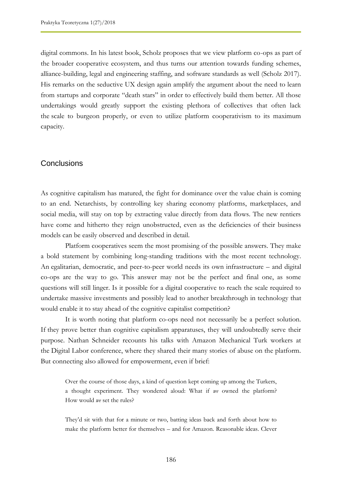digital commons. In his latest book, Scholz proposes that we view platform co-ops as part of the broader cooperative ecosystem, and thus turns our attention towards funding schemes, alliance-building, legal and engineering staffing, and software standards as well (Scholz 2017). His remarks on the seductive UX design again amplify the argument about the need to learn from startups and corporate "death stars" in order to effectively build them better. All those undertakings would greatly support the existing plethora of collectives that often lack the scale to burgeon properly, or even to utilize platform cooperativism to its maximum capacity.

#### **Conclusions**

As cognitive capitalism has matured, the fight for dominance over the value chain is coming to an end. Netarchists, by controlling key sharing economy platforms, marketplaces, and social media, will stay on top by extracting value directly from data flows. The new rentiers have come and hitherto they reign unobstructed, even as the deficiencies of their business models can be easily observed and described in detail.

Platform cooperatives seem the most promising of the possible answers. They make a bold statement by combining long-standing traditions with the most recent technology. An egalitarian, democratic, and peer-to-peer world needs its own infrastructure – and digital co-ops are the way to go. This answer may not be the perfect and final one, as some questions will still linger. Is it possible for a digital cooperative to reach the scale required to undertake massive investments and possibly lead to another breakthrough in technology that would enable it to stay ahead of the cognitive capitalist competition?

It is worth noting that platform co-ops need not necessarily be a perfect solution. If they prove better than cognitive capitalism apparatuses, they will undoubtedly serve their purpose. Nathan Schneider recounts his talks with Amazon Mechanical Turk workers at the Digital Labor conference, where they shared their many stories of abuse on the platform. But connecting also allowed for empowerment, even if brief:

Over the course of those days, a kind of question kept coming up among the Turkers, a thought experiment. They wondered aloud: What if *we* owned the platform? How would *we* set the rules?

They'd sit with that for a minute or two, batting ideas back and forth about how to make the platform better for themselves – and for Amazon. Reasonable ideas. Clever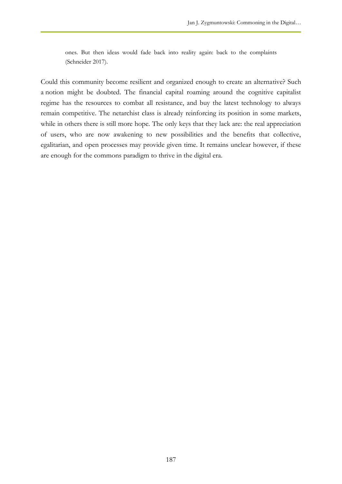ones. But then ideas would fade back into reality again: back to the complaints (Schneider 2017).

Could this community become resilient and organized enough to create an alternative? Such a notion might be doubted. The financial capital roaming around the cognitive capitalist regime has the resources to combat all resistance, and buy the latest technology to always remain competitive. The netarchist class is already reinforcing its position in some markets, while in others there is still more hope. The only keys that they lack are: the real appreciation of users, who are now awakening to new possibilities and the benefits that collective, egalitarian, and open processes may provide given time. It remains unclear however, if these are enough for the commons paradigm to thrive in the digital era.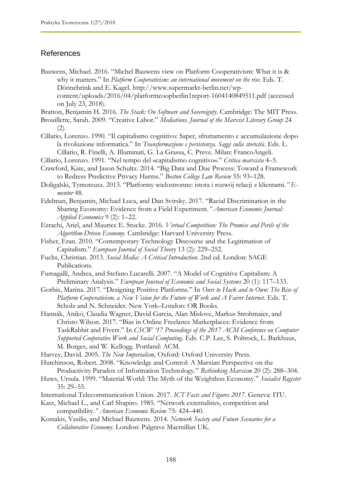## References

Bauwens, Michael. 2016. "Michel Bauwens view on Platform Cooperativism: What it is & why it matters." In *Platform Cooperativism: an international movement on the rise*. Eds. T. Dönnebrink and E. Kagel. http://www.supermarkt-berlin.net/wpcontent/uploads/2016/04/platformcoopberlin1report-1604140849511.pdf (accessed on July 23, 2018).

Bratton, Benjamin H. 2016. *The Stack: On Software and Sovereignty*. Cambridge: The MIT Press.

- Brouillette, Sarah. 2009. "Creative Labor." *Mediations. Journal of the Marxist Literary Group* 24 (2).
- Cillario, Lorenzo. 1990. "Il capitalismo cognitivo: Saper, sfruttamento e accumulazione dopo la rivoluzione informatica." In *Transformazione e persistenza. Saggi sulla storicità*. Eds. L. Cillario, R. Finelli, A. Illuminati, G. La Grassa, C. Preve. Milan: FrancoAngeli.
- Cillario, Lorenzo. 1991. "Nel tempo del »capitalismo cognitivo«." *Critica marxista* 4–5.
- Crawford, Kate, and Jason Schultz. 2014. "Big Data and Due Process: Toward a Framework to Redress Predictive Privacy Harms." *Boston College Law Review* 55: 93–128.
- Doligalski, Tymoteusz. 2013. "Platformy wielostronne: istota i rozwój relacji z klientami*." Ementor* 48.
- Edelman, Benjamin, Michael Luca, and Dan Svirsky. 2017. "Racial Discrimination in the Sharing Economy: Evidence from a Field Experiment.*" American Economic Journal: Applied Economics* 9 (2): 1–22.
- Ezrachi, Ariel, and Maurice E. Stucke. 2016. *Virtual Competition: The Promise and Perils of the Algorithm-Driven Economy*. Cambridge: Harvard University Press.
- Fisher, Eran. 2010. "Contemporary Technology Discourse and the Legitimation of Capitalism." *European Journal of Social Theory* 13 (2): 229–252.
- Fuchs, Christian. 2013. *Social Media: A Critical Introduction*. 2nd ed. London: SAGE Publications.
- Fumagalli, Andrea, and Stefano Lucarelli. 2007. "A Model of Cognitive Capitalism: A Preliminary Analysis." *European Journal of Economic and Social Systems* 20 (1): 117–133.
- Gorbis, Marina. 2017. "Designing Positive Platforms." In *Ours to Hack and to Own: The Rise of Platform Cooperativism, a New Vision for the Future of Work and A Fairer Internet*. Eds. T. Scholz and N. Schneider. New York–London: OR Books.
- Hannák, Anikó, Claudia Wagner, David Garcia, Alan Mislove, Markus Strohmaier, and Christo Wilson. 2017. "Bias in Online Freelance Marketplaces: Evidence from TaskRabbit and Fiverr." In *CSCW '17 Proceedings of the 2017 ACM Conference on Computer Supported Cooperative Work and Social Computing*. Eds. C.P. Lee, S. Poltrock, L. Barkhuus, M. Borges, and W. Kellogg. Portland: ACM.
- Harvey, David. 2005. *The New Imperialism*, Oxford: Oxford University Press.
- Hutchinson, Robert. 2008. "Knowledge and Control: A Marxian Perspective on the Productivity Paradox of Information Technology." *Rethinking Marxism* 20 (2): 288–304.
- Huws, Ursula. 1999. "Material World: The Myth of the Weightless Economy." *Socialist Register* 35: 29–55.
- International Telecommunication Union. 2017. *ICT Facts and Figures 2017*. Geneva: ITU.
- Katz, Michael L., and Carl Shapiro. 1985. "Network externalities, competition and compatibility.*" American Economic Review* 75: 424–440.
- Kostakis, Vasilis, and Michael Bauwens. 2014. *Network Society and Future Scenarios for a Collaborative Economy*. London: Palgrave Macmillan UK.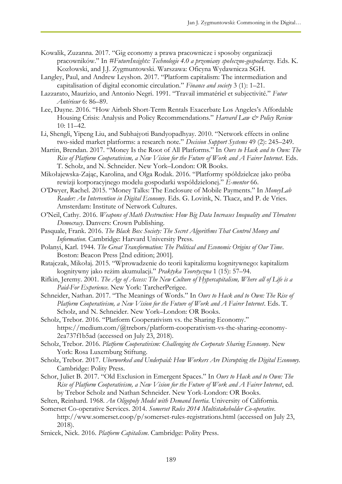- Kowalik, Zuzanna. 2017. "Gig economy a prawa pracownicze i sposoby organizacji pracowników." In *#FutureInsights: Technologie 4.0 a przemiany społeczno-gospodarcze*. Eds. K. Kozłowski, and J.J. Zygmuntowski. Warszawa: Oficyna Wydawnicza SGH.
- Langley, Paul, and Andrew Leyshon. 2017. "Platform capitalism: The intermediation and capitalisation of digital economic circulation." *Finance and society* 3 (1): 1–21.
- Lazzarato, Maurizio, and Antonio Negri. 1991. "Travail immatériel et subjectivité." *Futur Antérieur* 6: 86–89.
- Lee, Dayne. 2016. "How Airbnb Short-Term Rentals Exacerbate Los Angeles's Affordable Housing Crisis: Analysis and Policy Recommendations." *Harvard Law & Policy Review* 10: 11–42.
- Li, Shengli, Yipeng Liu, and Subhajyoti Bandyopadhyay. 2010. "Network effects in online two-sided market platforms: a research note." *Decision Support Systems* 49 (2): 245–249.
- Martin, Brendan. 2017. "Money Is the Root of All Platforms." In *Ours to Hack and to Own: The Rise of Platform Cooperativism, a New Vision for the Future of Work and A Fairer Internet*. Eds. T. Scholz, and N. Schneider. New York–London: OR Books.
- Mikołajewska-Zając, Karolina, and Olga Rodak. 2016. "Platformy spółdzielcze jako próba rewizji korporacyjnego modelu gospodarki współdzielonej." *E-mentor* 66.
- O'Dwyer, Rachel. 2015. "Money Talks: The Enclosure of Mobile Payments." In *MoneyLab Reader: An Intervention in Digital Economy*. Eds. G. Lovink, N. Tkacz, and P. de Vries. Amsterdam: Institute of Network Cultures.
- O'Neil, Cathy. 2016. *Weapons of Math Destruction: How Big Data Increases Inequality and Threatens Democracy*. Danvers: Crown Publishing.
- Pasquale, Frank. 2016. *The Black Box Society: The Secret Algorithms That Control Money and Information*. Cambridge: Harvard University Press.
- Polanyi, Karl. 1944. *The Great Transformation: The Political and Economic Origins of Our Time*. Boston: Beacon Press [2nd edition; 2001].
- Ratajczak, Mikołaj. 2015. "Wprowadzenie do teorii kapitalizmu kognitywnego: kapitalizm kognitywny jako reżim akumulacji." *Praktyka Teoretyczna* 1 (15): 57–94.
- Rifkin, Jeremy. 2001. *The Age of Access: The New Culture of Hypercapitalism, Where all of Life is a Paid-For Experience*. New York: TarcherPerigee.
- Schneider, Nathan. 2017. "The Meanings of Words." In *Ours to Hack and to Own: The Rise of Platform Cooperativism, a New Vision for the Future of Work and A Fairer Internet*. Eds. T. Scholz, and N. Schneider. New York–London: OR Books.
- Scholz, Trebor. 2016. "Platform Cooperativism vs. the Sharing Economy." https://medium.com/@trebors/platform-cooperativism-vs-the-sharing-economy-2ea737f1b5ad (accessed on July 23, 2018).
- Scholz, Trebor. 2016. *Platform Cooperativism: Challenging the Corporate Sharing Economy*. New York: Rosa Luxemburg Stiftung.
- Scholz, Trebor. 2017. *Uberworked and Underpaid: How Workers Are Disrupting the Digital Economy.* Cambridge: Polity Press.
- Schor, Juliet B. 2017. "Old Exclusion in Emergent Spaces." In *Ours to Hack and to Own: The Rise of Platform Cooperativism, a New Vision for the Future of Work and A Fairer Internet*, ed. by Trebor Scholz and Nathan Schneider. New York-London: OR Books.
- Selten, Reinhard. 1968. *An Oligopoly Model with Demand Inertia*. University of California. Somerset Co-operative Services. 2014. *Somerset Rules 2014 Multistakeholder Co-operative*.
	- http://www.somerset.coop/p/somerset-rules-registrations.html (accessed on July 23, 2018).
- Srnicek, Nick. 2016. *Platform Capitalism*. Cambridge: Polity Press.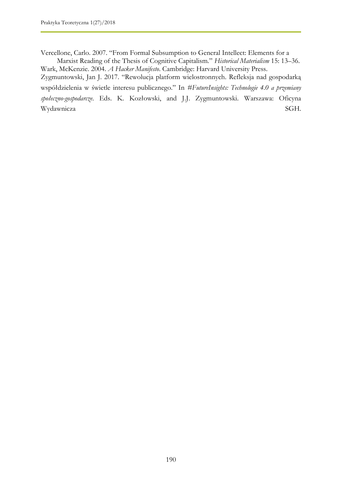Vercellone, Carlo. 2007. "From Formal Subsumption to General Intellect: Elements for a

Marxist Reading of the Thesis of Cognitive Capitalism." *Historical Materialism* 15: 13–36. Wark, McKenzie. 2004. *A Hacker Manifesto*. Cambridge: Harvard University Press. Zygmuntowski, Jan J. 2017. "Rewolucja platform wielostronnych. Refleksja nad gospodarką współdzielenia w świetle interesu publicznego." In *#FutureInsights: Technologie 4.0 a przemiany społeczno-gospodarcze*. Eds. K. Kozłowski, and J.J. Zygmuntowski. Warszawa: Oficyna Wydawnicza SGH.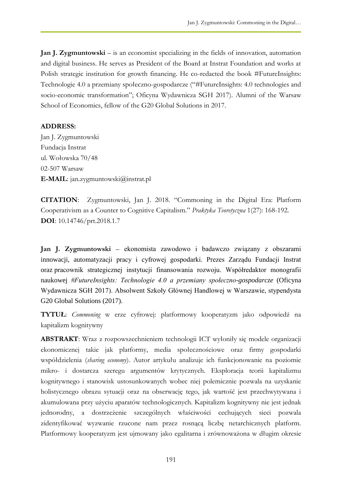**Jan J. Zygmuntowski** – is an economist specializing in the fields of innovation, automation and digital business. He serves as President of the Board at Instrat Foundation and works at Polish strategic institution for growth financing. He co-redacted the book #FutureInsights: Technologie 4.0 a przemiany społeczno-gospodarcze ("#FutureInsights: 4.0 technologies and socio-economic transformation"; Oficyna Wydawnicza SGH 2017). Alumni of the Warsaw School of Economics, fellow of the G20 Global Solutions in 2017.

### **ADDRESS:**

Jan J. Zygmuntowski Fundacja Instrat ul. Wołowska 70/48 02-507 Warsaw **E-MAIL**: jan.zygmuntowski@instrat.pl

**CITATION**: Zygmuntowski, Jan J. 2018. "Commoning in the Digital Era: Platform Cooperativism as a Counter to Cognitive Capitalism." *Praktyka Teoretyczna* 1(27): 168-192. **DOI**: 10.14746/prt.2018.1.7

**Jan J. Zygmuntowski** – ekonomista zawodowo i badawczo związany z obszarami innowacji, automatyzacji pracy i cyfrowej gospodarki. Prezes Zarządu Fundacji Instrat oraz pracownik strategicznej instytucji finansowania rozwoju. Współredaktor monografii naukowej *#FutureInsights: Technologie 4.0 a przemiany społeczno-gospodarcze* (Oficyna Wydawnicza SGH 2017). Absolwent Szkoły Głównej Handlowej w Warszawie, stypendysta G20 Global Solutions (2017).

**TYTUŁ**: *Commoning* w erze cyfrowej: platformowy kooperatyzm jako odpowiedź na kapitalizm kognitywny

**ABSTRAKT**: Wraz z rozpowszechnieniem technologii ICT wyłoniły się modele organizacji ekonomicznej takie jak platformy, media społecznościowe oraz firmy gospodarki współdzielenia (*sharing economy*). Autor artykułu analizuje ich funkcjonowanie na poziomie mikro- i dostarcza szeregu argumentów krytycznych. Eksploracja teorii kapitalizmu kognitywnego i stanowisk ustosunkowanych wobec niej polemicznie pozwala na uzyskanie holistycznego obrazu sytuacji oraz na obserwację tego, jak wartość jest przechwytywana i akumulowana przy użyciu aparatów technologicznych. Kapitalizm kognitywny nie jest jednak jednorodny, a dostrzeżenie szczególnych właściwości cechujących sieci pozwala zidentyfikować wyzwanie rzucone nam przez rosnącą liczbę netarchicznych platform. Platformowy kooperatyzm jest ujmowany jako egalitarna i zrównoważona w długim okresie